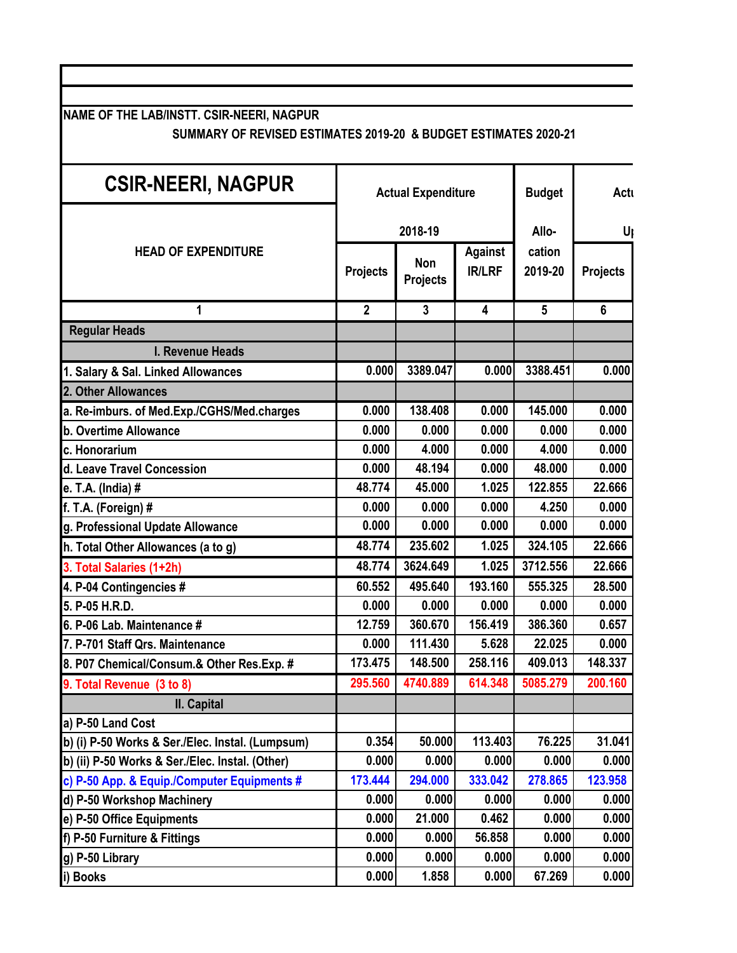**NAME OF THE LAB/INSTT. CSIR-NEERI, NAGPUR**

## **SUMMARY OF REVISED ESTIMATES 2019-20 & BUDGET ESTIMATES 2020-21**

| <b>CSIR-NEERI, NAGPUR</b>                        | <b>Actual Expenditure</b> |                        |                                 | <b>Budget</b>     | Actu            |
|--------------------------------------------------|---------------------------|------------------------|---------------------------------|-------------------|-----------------|
|                                                  |                           | 2018-19                | Allo-                           | U                 |                 |
| <b>HEAD OF EXPENDITURE</b>                       | <b>Projects</b>           | Non<br><b>Projects</b> | <b>Against</b><br><b>IR/LRF</b> | cation<br>2019-20 | <b>Projects</b> |
| 1                                                | $\mathbf{2}$              | $\mathbf{3}$           | $\overline{4}$                  | $5\phantom{.0}$   | 6               |
| <b>Regular Heads</b>                             |                           |                        |                                 |                   |                 |
| I. Revenue Heads                                 |                           |                        |                                 |                   |                 |
| 1. Salary & Sal. Linked Allowances               | 0.000                     | 3389.047               | 0.000                           | 3388.451          | 0.000           |
| 2. Other Allowances                              |                           |                        |                                 |                   |                 |
| a. Re-imburs. of Med.Exp./CGHS/Med.charges       | 0.000                     | 138.408                | 0.000                           | 145.000           | 0.000           |
| b. Overtime Allowance                            | 0.000                     | 0.000                  | 0.000                           | 0.000             | 0.000           |
| c. Honorarium                                    | 0.000                     | 4.000                  | 0.000                           | 4.000             | 0.000           |
| d. Leave Travel Concession                       | 0.000                     | 48.194                 | 0.000                           | 48.000            | 0.000           |
| e. T.A. (India) #                                | 48.774                    | 45.000                 | 1.025                           | 122.855           | 22.666          |
| $f. T.A.$ (Foreign) #                            | 0.000                     | 0.000                  | 0.000                           | 4.250             | 0.000           |
| g. Professional Update Allowance                 | 0.000                     | 0.000                  | 0.000                           | 0.000             | 0.000           |
| h. Total Other Allowances (a to g)               | 48.774                    | 235.602                | 1.025                           | 324.105           | 22.666          |
| 3. Total Salaries (1+2h)                         | 48.774                    | 3624.649               | 1.025                           | 3712.556          | 22.666          |
| 4. P-04 Contingencies #                          | 60.552                    | 495.640                | 193.160                         | 555.325           | 28.500          |
| 5. P-05 H.R.D.                                   | 0.000                     | 0.000                  | 0.000                           | 0.000             | 0.000           |
| 6. P-06 Lab. Maintenance #                       | 12.759                    | 360.670                | 156.419                         | 386.360           | 0.657           |
| 7. P-701 Staff Qrs. Maintenance                  | 0.000                     | 111.430                | 5.628                           | 22.025            | 0.000           |
| 8. P07 Chemical/Consum.& Other Res.Exp. #        | 173.475                   | 148.500                | 258.116                         | 409.013           | 148.337         |
| 9. Total Revenue (3 to 8)                        | 295.560                   | 4740.889               | 614.348                         | 5085.279          | 200.160         |
| II. Capital                                      |                           |                        |                                 |                   |                 |
| a) P-50 Land Cost                                |                           |                        |                                 |                   |                 |
| b) (i) P-50 Works & Ser./Elec. Instal. (Lumpsum) | 0.354                     | 50.000                 | 113.403                         | 76.225            | 31.041          |
| b) (ii) P-50 Works & Ser./Elec. Instal. (Other)  | 0.000                     | 0.000                  | 0.000                           | 0.000             | 0.000           |
| c) P-50 App. & Equip./Computer Equipments #      | 173.444                   | 294.000                | 333.042                         | 278.865           | 123.958         |
| d) P-50 Workshop Machinery                       | 0.000                     | 0.000                  | 0.000                           | 0.000             | 0.000           |
| e) P-50 Office Equipments                        | 0.000                     | 21.000                 | 0.462                           | 0.000             | 0.000           |
| f) P-50 Furniture & Fittings                     | 0.000                     | 0.000                  | 56.858                          | 0.000             | 0.000           |
| g) P-50 Library                                  | 0.000                     | 0.000                  | 0.000                           | 0.000             | 0.000           |
| i) Books                                         | 0.000                     | 1.858                  | 0.000                           | 67.269            | 0.000           |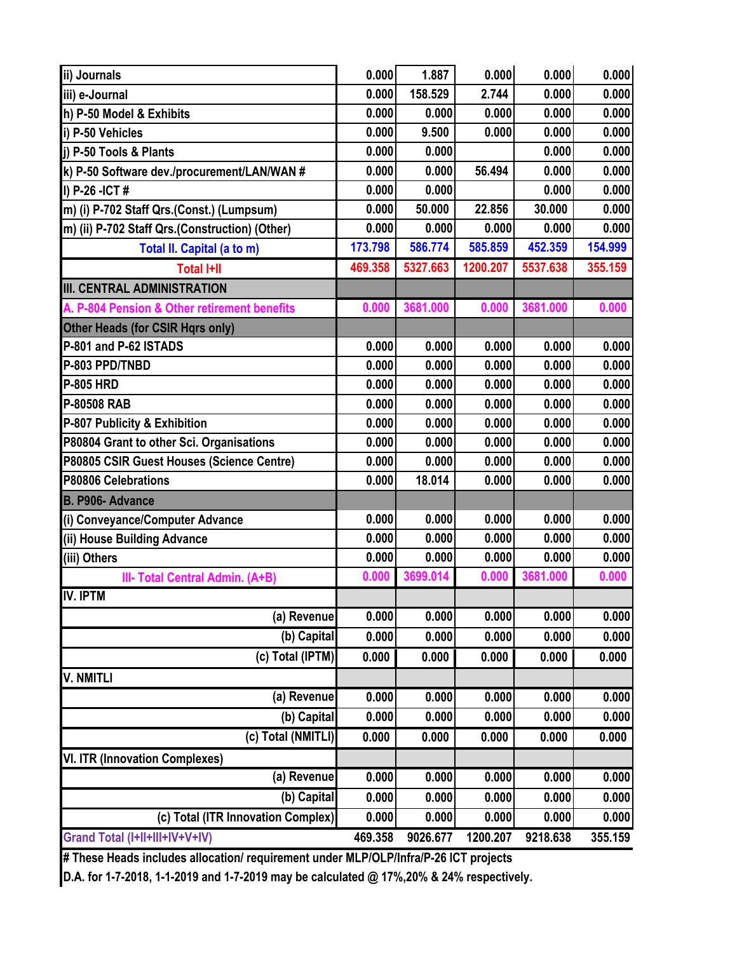| ii) Journals                                   | 0.000   | 1.887    | 0.000    | 0.000    | 0.000   |
|------------------------------------------------|---------|----------|----------|----------|---------|
| iii) e-Journal                                 | 0.000   | 158.529  | 2.744    | 0.000    | 0.000   |
| h) P-50 Model & Exhibits                       | 0.000   | 0.000    | 0.000    | 0.000    | 0.000   |
| i) P-50 Vehicles                               | 0.000   | 9.500    | 0.000    | 0.000    | 0.000   |
| i) P-50 Tools & Plants                         | 0.000   | 0.000    |          | 0.000    | 0.000   |
| k) P-50 Software dev./procurement/LAN/WAN #    | 0.000   | 0.000    | 56.494   | 0.000    | 0.000   |
| $\vert$ I) P-26 -ICT#                          | 0.000   | 0.000    |          | 0.000    | 0.000   |
| m) (i) P-702 Staff Qrs.(Const.) (Lumpsum)      | 0.000   | 50.000   | 22.856   | 30.000   | 0.000   |
| m) (ii) P-702 Staff Qrs.(Construction) (Other) | 0.000   | 0.000    | 0.000    | 0.000    | 0.000   |
| Total II. Capital (a to m)                     | 173.798 | 586.774  | 585.859  | 452.359  | 154.999 |
| <b>Total I+II</b>                              | 469.358 | 5327.663 | 1200.207 | 5537.638 | 355.159 |
| <b>III. CENTRAL ADMINISTRATION</b>             |         |          |          |          |         |
| A. P-804 Pension & Other retirement benefits   | 0.000   | 3681.000 | 0.000    | 3681.000 | 0.000   |
| Other Heads (for CSIR Hqrs only)               |         |          |          |          |         |
| P-801 and P-62 ISTADS                          | 0.000   | 0.000    | 0.000    | 0.000    | 0.000   |
| P-803 PPD/TNBD                                 | 0.000   | 0.000    | 0.000    | 0.000    | 0.000   |
| <b>P-805 HRD</b>                               | 0.000   | 0.000    | 0.000    | 0.000    | 0.000   |
| P-80508 RAB                                    | 0.000   | 0.000    | 0.000    | 0.000    | 0.000   |
| P-807 Publicity & Exhibition                   | 0.000   | 0.000    | 0.000    | 0.000    | 0.000   |
| P80804 Grant to other Sci. Organisations       | 0.000   | 0.000    | 0.000    | 0.000    | 0.000   |
| P80805 CSIR Guest Houses (Science Centre)      | 0.000   | 0.000    | 0.000    | 0.000    | 0.000   |
| P80806 Celebrations                            | 0.000   | 18.014   | 0.000    | 0.000    | 0.000   |
| B. P906- Advance                               |         |          |          |          |         |
| (i) Conveyance/Computer Advance                | 0.000   | 0.000    | 0.000    | 0.000    | 0.000   |
| (ii) House Building Advance                    | 0.000   | 0.000    | 0.000    | 0.000    | 0.000   |
| (iii) Others                                   | 0.000   | 0.000    | 0.000    | 0.000    | 0.000   |
| III- Total Central Admin. (A+B)                | 0.000   | 3699.014 | 0.000    | 3681.000 | 0.000   |
| <b>IV. IPTM</b>                                |         |          |          |          |         |
| (a) Revenue                                    | 0.000   | 0.000    | 0.000    | 0.000    | 0.000   |
| (b) Capital                                    | 0.000   | 0.000    | 0.000    | 0.000    | 0.000   |
| (c) Total (IPTM)                               | 0.000   | 0.000    | 0.000    | 0.000    | 0.000   |
| <b>V. NMITLI</b>                               |         |          |          |          |         |
| (a) Revenue                                    | 0.000   | 0.000    | 0.000    | 0.000    | 0.000   |
| (b) Capital                                    | 0.000   | 0.000    | 0.000    | 0.000    | 0.000   |
| (c) Total (NMITLI)                             | 0.000   | 0.000    | 0.000    | 0.000    | 0.000   |
| <b>VI. ITR (Innovation Complexes)</b>          |         |          |          |          |         |
| (a) Revenue                                    | 0.000   | 0.000    | 0.000    | 0.000    | 0.000   |
| (b) Capital                                    | 0.000   | 0.000    | 0.000    | 0.000    | 0.000   |
| (c) Total (ITR Innovation Complex)             | 0.000   | 0.000    | 0.000    | 0.000    | 0.000   |
| Grand Total (I+II+III+IV+V+IV)                 | 469.358 | 9026.677 | 1200.207 | 9218.638 | 355.159 |

**# These Heads includes allocation/ requirement under MLP/OLP/Infra/P-26 ICT projects**

**D.A. for 1-7-2018, 1-1-2019 and 1-7-2019 may be calculated @ 17%,20% & 24% respectively.**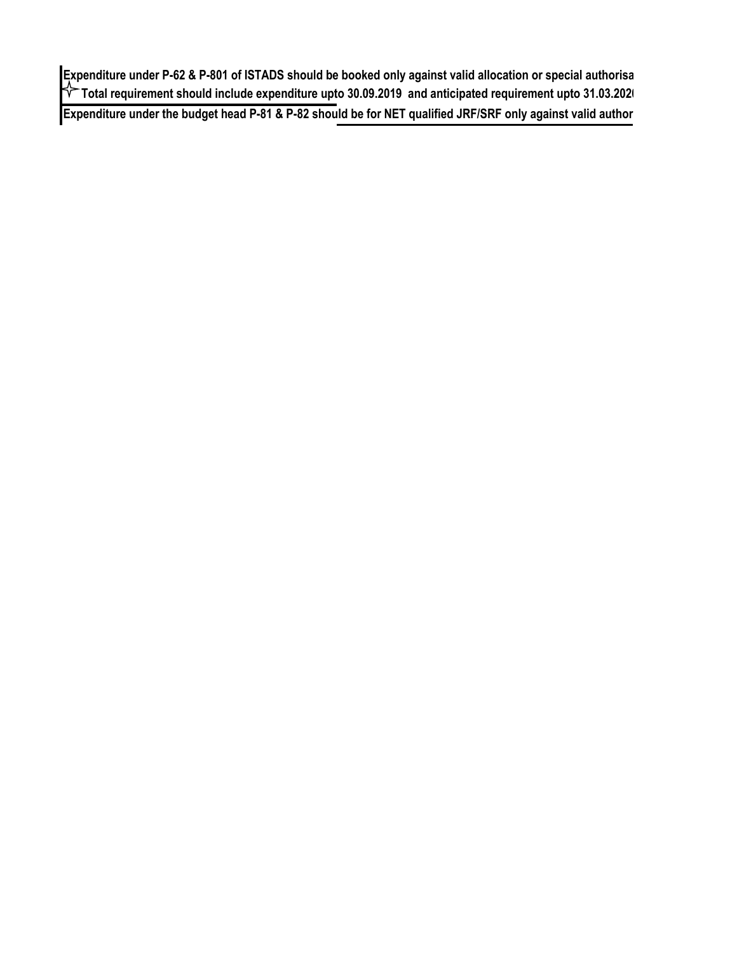Expenditure under P-62 & P-801 of ISTADS should be booked only against valid allocation or special authorisa  **Total requirement should include expenditure upto 30.09.2019 and anticipated requirement upto 31.03.2020 Expenditure under the budget head P-81 & P-82 should be for NET qualified JRF/SRF only against valid author**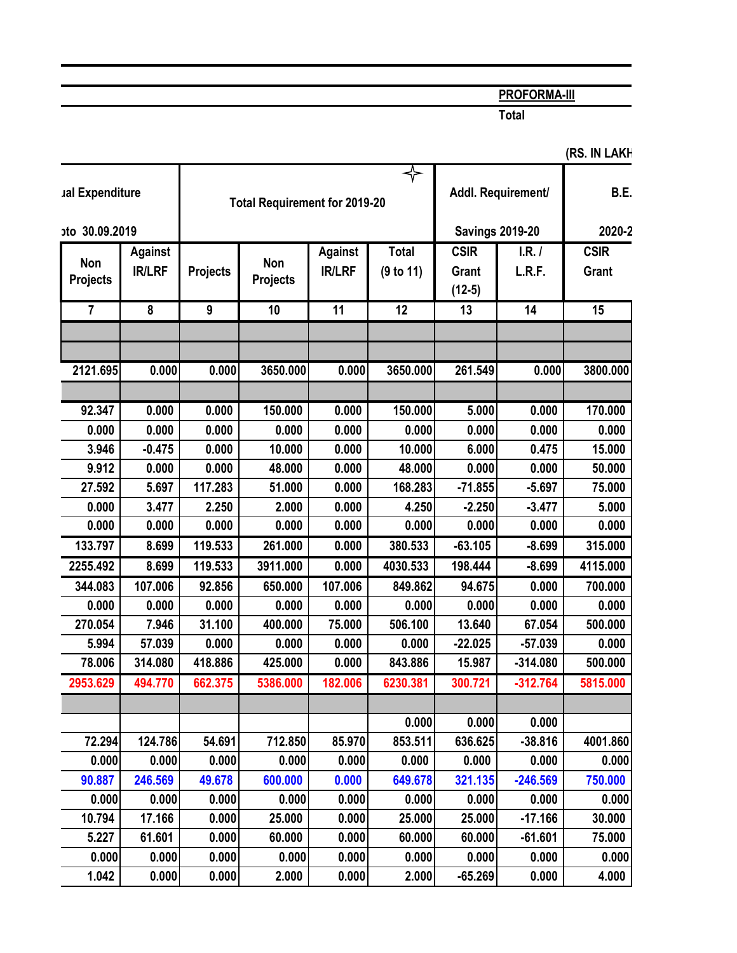## **PROFORMA-III**

**Total**

| ual Expenditure        |                                 | <b>Total Requirement for 2019-20</b> |                        |                                 |                           | Addl. Requirement/                      | B.E.             |                      |
|------------------------|---------------------------------|--------------------------------------|------------------------|---------------------------------|---------------------------|-----------------------------------------|------------------|----------------------|
| oto 30.09.2019         |                                 |                                      |                        |                                 | <b>Savings 2019-20</b>    |                                         | 2020-2           |                      |
| Non<br><b>Projects</b> | <b>Against</b><br><b>IR/LRF</b> | <b>Projects</b>                      | Non<br><b>Projects</b> | <b>Against</b><br><b>IR/LRF</b> | <b>Total</b><br>(9 to 11) | <b>CSIR</b><br><b>Grant</b><br>$(12-5)$ | I.R. /<br>L.R.F. | <b>CSIR</b><br>Grant |
| $\overline{7}$         | 8                               | $\boldsymbol{9}$                     | 10                     | 11                              | 12                        | 13                                      | 14               | 15                   |
|                        |                                 |                                      |                        |                                 |                           |                                         |                  |                      |
| 2121.695               | 0.000                           | 0.000                                | 3650.000               | 0.000                           | 3650.000                  | 261.549                                 | 0.000            | 3800.000             |
| 92.347                 | 0.000                           | 0.000                                | 150.000                | 0.000                           | 150.000                   | 5.000                                   | 0.000            | 170.000              |
| 0.000                  | 0.000                           | 0.000                                | 0.000                  | 0.000                           | 0.000                     | 0.000                                   | 0.000            | 0.000                |
| 3.946                  | $-0.475$                        | 0.000                                | 10.000                 | 0.000                           | 10.000                    | 6.000                                   | 0.475            | 15.000               |
| 9.912                  | 0.000                           | 0.000                                | 48.000                 | 0.000                           | 48.000                    | 0.000                                   | 0.000            | 50.000               |
| 27.592                 | 5.697                           | 117.283                              | 51.000                 | 0.000                           | 168.283                   | $-71.855$                               | $-5.697$         | 75.000               |
| 0.000                  | 3.477                           | 2.250                                | 2.000                  | 0.000                           | 4.250                     | $-2.250$                                | $-3.477$         | 5.000                |
| 0.000                  | 0.000                           | 0.000                                | 0.000                  | 0.000                           | 0.000                     | 0.000                                   | 0.000            | 0.000                |
| 133.797                | 8.699                           | 119.533                              | 261.000                | 0.000                           | 380.533                   | $-63.105$                               | $-8.699$         | 315.000              |
| 2255.492               | 8.699                           | 119.533                              | 3911.000               | 0.000                           | 4030.533                  | 198.444                                 | $-8.699$         | 4115.000             |
| 344.083                | 107.006                         | 92.856                               | 650.000                | 107.006                         | 849.862                   | 94.675                                  | 0.000            | 700.000              |
| 0.000                  | 0.000                           | 0.000                                | 0.000                  | 0.000                           | 0.000                     | 0.000                                   | 0.000            | 0.000                |
| 270.054                | 7.946                           | 31.100                               | 400.000                | 75.000                          | 506.100                   | 13.640                                  | 67.054           | 500.000              |
| 5.994                  | 57.039                          | 0.000                                | 0.000                  | 0.000                           | 0.000                     | $-22.025$                               | $-57.039$        | 0.000                |
| 78.006                 | 314.080                         | 418.886                              | 425.000                | 0.000                           | 843.886                   | 15.987                                  | $-314.080$       | 500.000              |
| 2953.629               | 494.770                         | 662.375                              | 5386.000               | 182.006                         | 6230.381                  | 300.721                                 | $-312.764$       | 5815.000             |
|                        |                                 |                                      |                        |                                 |                           |                                         |                  |                      |
|                        |                                 |                                      |                        |                                 | 0.000                     | 0.000                                   | 0.000            |                      |
| 72.294                 | 124.786                         | 54.691                               | 712.850                | 85.970                          | 853.511                   | 636.625                                 | $-38.816$        | 4001.860             |
| 0.000                  | 0.000                           | 0.000                                | 0.000                  | 0.000                           | 0.000                     | 0.000                                   | 0.000            | 0.000                |
| 90.887                 | 246.569                         | 49.678                               | 600.000                | 0.000                           | 649.678                   | 321.135                                 | $-246.569$       | 750.000              |
| 0.000                  | 0.000                           | 0.000                                | 0.000                  | 0.000                           | 0.000                     | 0.000                                   | 0.000            | 0.000                |
| 10.794                 | 17.166                          | 0.000                                | 25.000                 | 0.000                           | 25.000                    | 25.000                                  | $-17.166$        | 30.000               |
| 5.227                  | 61.601                          | 0.000                                | 60.000                 | 0.000                           | 60.000                    | 60.000                                  | $-61.601$        | 75.000               |
| 0.000                  | 0.000                           | 0.000                                | 0.000                  | 0.000                           | 0.000                     | 0.000                                   | 0.000            | 0.000                |
| 1.042                  | 0.000                           | 0.000                                | 2.000                  | 0.000                           | 2.000                     | $-65.269$                               | 0.000            | 4.000                |

## **(RS. IN LAKH)**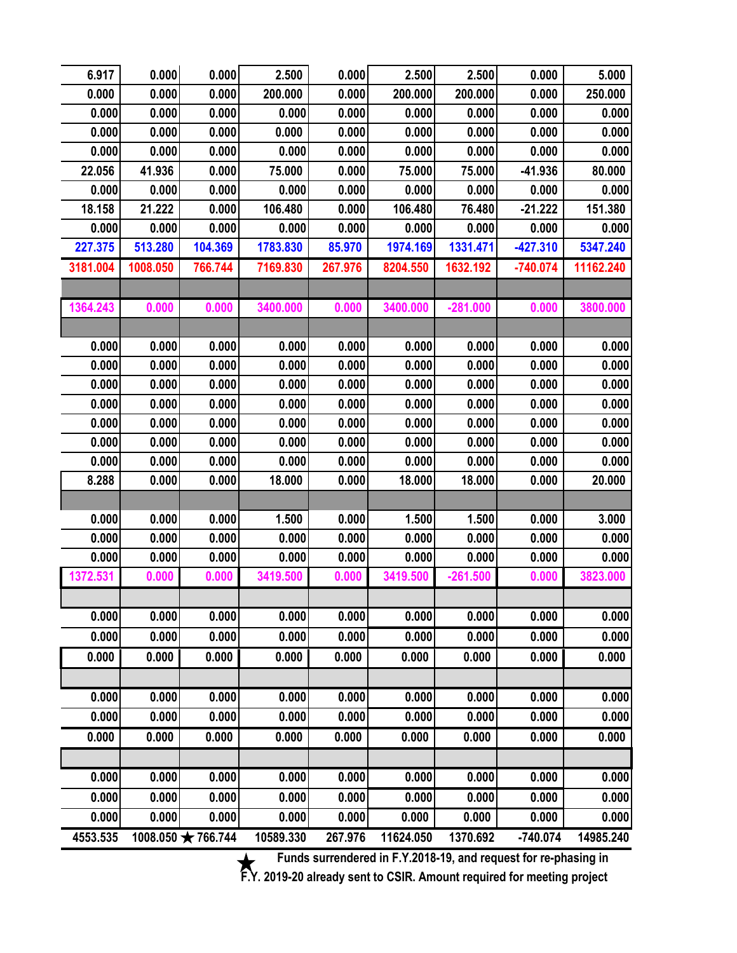| 6.917    | 0.000    | 0.000             | 2.500     | 0.000   | 2.500     | 2.500      | 0.000      | 5.000     |
|----------|----------|-------------------|-----------|---------|-----------|------------|------------|-----------|
| 0.000    | 0.000    | 0.000             | 200.000   | 0.000   | 200.000   | 200.000    | 0.000      | 250.000   |
| 0.000    | 0.000    | 0.000             | 0.000     | 0.000   | 0.000     | 0.000      | 0.000      | 0.000     |
| 0.000    | 0.000    | 0.000             | 0.000     | 0.000   | 0.000     | 0.000      | 0.000      | 0.000     |
| 0.000    | 0.000    | 0.000             | 0.000     | 0.000   | 0.000     | 0.000      | 0.000      | 0.000     |
| 22.056   | 41.936   | 0.000             | 75.000    | 0.000   | 75.000    | 75.000     | $-41.936$  | 80.000    |
| 0.000    | 0.000    | 0.000             | 0.000     | 0.000   | 0.000     | 0.000      | 0.000      | 0.000     |
| 18.158   | 21.222   | 0.000             | 106.480   | 0.000   | 106.480   | 76.480     | $-21.222$  | 151.380   |
| 0.000    | 0.000    | 0.000             | 0.000     | 0.000   | 0.000     | 0.000      | 0.000      | 0.000     |
| 227.375  | 513.280  | 104.369           | 1783.830  | 85.970  | 1974.169  | 1331.471   | $-427.310$ | 5347.240  |
| 3181.004 | 1008.050 | 766.744           | 7169.830  | 267.976 | 8204.550  | 1632.192   | $-740.074$ | 11162.240 |
|          |          |                   |           |         |           |            |            |           |
| 1364.243 | 0.000    | 0.000             | 3400.000  | 0.000   | 3400.000  | $-281.000$ | 0.000      | 3800.000  |
|          |          |                   |           |         |           |            |            |           |
| 0.000    | 0.000    | 0.000             | 0.000     | 0.000   | 0.000     | 0.000      | 0.000      | 0.000     |
| 0.000    | 0.000    | 0.000             | 0.000     | 0.000   | 0.000     | 0.000      | 0.000      | 0.000     |
| 0.000    | 0.000    | 0.000             | 0.000     | 0.000   | 0.000     | 0.000      | 0.000      | 0.000     |
| 0.000    | 0.000    | 0.000             | 0.000     | 0.000   | 0.000     | 0.000      | 0.000      | 0.000     |
| 0.000    | 0.000    | 0.000             | 0.000     | 0.000   | 0.000     | 0.000      | 0.000      | 0.000     |
| 0.000    | 0.000    | 0.000             | 0.000     | 0.000   | 0.000     | 0.000      | 0.000      | 0.000     |
| 0.000    | 0.000    | 0.000             | 0.000     | 0.000   | 0.000     | 0.000      | 0.000      | 0.000     |
| 8.288    | 0.000    | 0.000             | 18.000    | 0.000   | 18.000    | 18.000     | 0.000      | 20.000    |
|          |          |                   |           |         |           |            |            |           |
| 0.000    | 0.000    | 0.000             | 1.500     | 0.000   | 1.500     | 1.500      | 0.000      | 3.000     |
| 0.000    | 0.000    | 0.000             | 0.000     | 0.000   | 0.000     | 0.000      | 0.000      | 0.000     |
| 0.000    | 0.000    | 0.000             | 0.000     | 0.000   | 0.000     | 0.000      | 0.000      | 0.000     |
| 1372.531 | 0.000    | 0.000             | 3419.500  | 0.000   | 3419.500  | $-261.500$ | 0.000      | 3823.000  |
|          |          |                   |           |         |           |            |            |           |
| 0.000    | 0.000    | 0.000             | 0.000     | 0.000   | 0.000     | 0.000      | 0.000      | 0.000     |
| 0.000    | 0.000    | 0.000             | 0.000     | 0.000   | 0.000     | 0.000      | 0.000      | 0.000     |
| 0.000    | 0.000    | 0.000             | 0.000     | 0.000   | 0.000     | 0.000      | 0.000      | 0.000     |
|          |          |                   |           |         |           |            |            |           |
| 0.000    | 0.000    | 0.000             | 0.000     | 0.000   | 0.000     | 0.000      | 0.000      | 0.000     |
| 0.000    | 0.000    | 0.000             | 0.000     | 0.000   | 0.000     | 0.000      | 0.000      | 0.000     |
| 0.000    | 0.000    | 0.000             | 0.000     | 0.000   | 0.000     | 0.000      | 0.000      | 0.000     |
|          |          |                   |           |         |           |            |            |           |
| 0.000    | 0.000    | 0.000             | 0.000     | 0.000   | 0.000     | 0.000      | 0.000      | 0.000     |
| 0.000    | 0.000    | 0.000             | 0.000     | 0.000   | 0.000     | 0.000      | 0.000      | 0.000     |
| 0.000    | 0.000    | 0.000             | 0.000     | 0.000   | 0.000     | 0.000      | 0.000      | 0.000     |
| 4553.535 |          | 1008.050 *766.744 | 10589.330 | 267.976 | 11624.050 | 1370.692   | $-740.074$ | 14985.240 |

**Eunds surrendered in F.Y.2018-19, and request for re-phasing in** 

**F.Y. 2019-20 already sent to CSIR. Amount required for meeting project**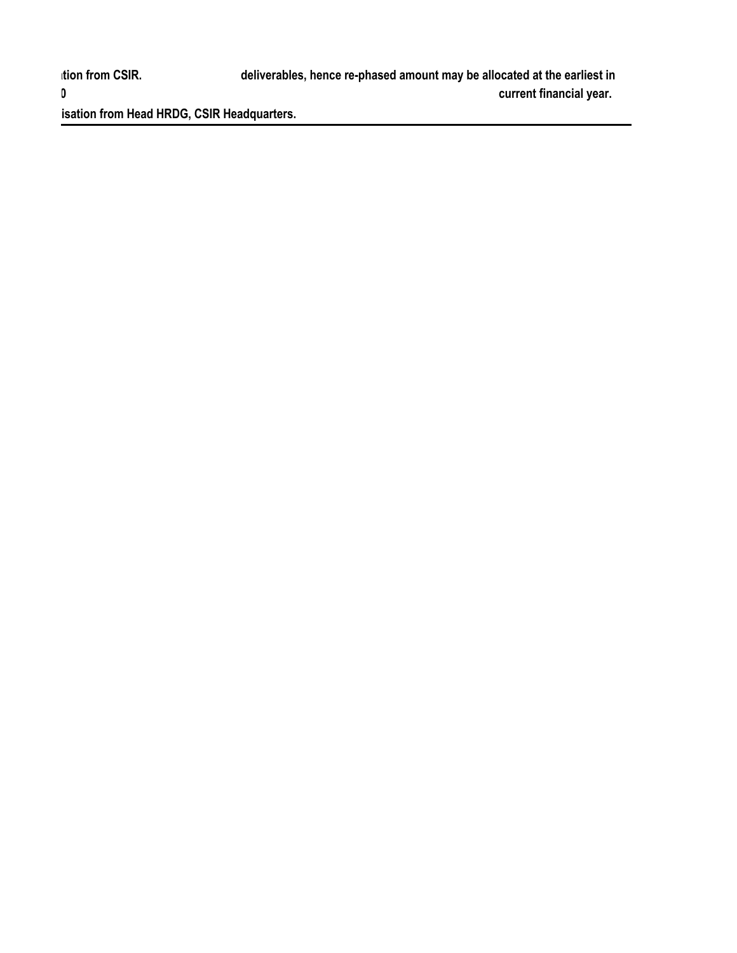isation from Head HRDG, CSIR Headquarters.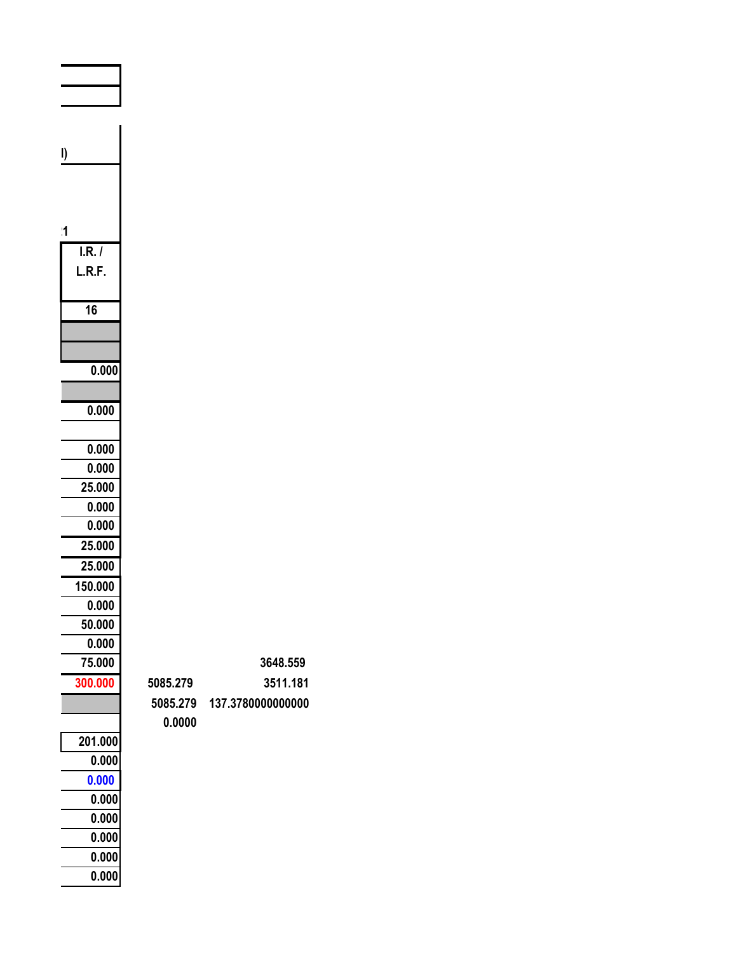| I)      |
|---------|
|         |
|         |
| !1      |
| I.R. /  |
| L.R.F.  |
| 16      |
|         |
|         |
| 0.000   |
|         |
| 0.000   |
| 0.000   |
| 0.000   |
| 25.000  |
| 0.000   |
| 0.000   |
| 25.000  |
| 25.000  |
| 150.000 |
| 0.000   |
| 50.000  |
| 0.000   |
| 75.000  |
| 300.000 |
|         |
| 201.000 |
| 0.000   |
| 0.000   |
| 0.000   |
| 0.000   |
| 0.000   |
| 0.000   |
| 0.000   |

|          | 3648.559 |
|----------|----------|
| 5085.279 | 3511.181 |

|        | 5085.279 137.3780000000000 |
|--------|----------------------------|
| 0.0000 |                            |